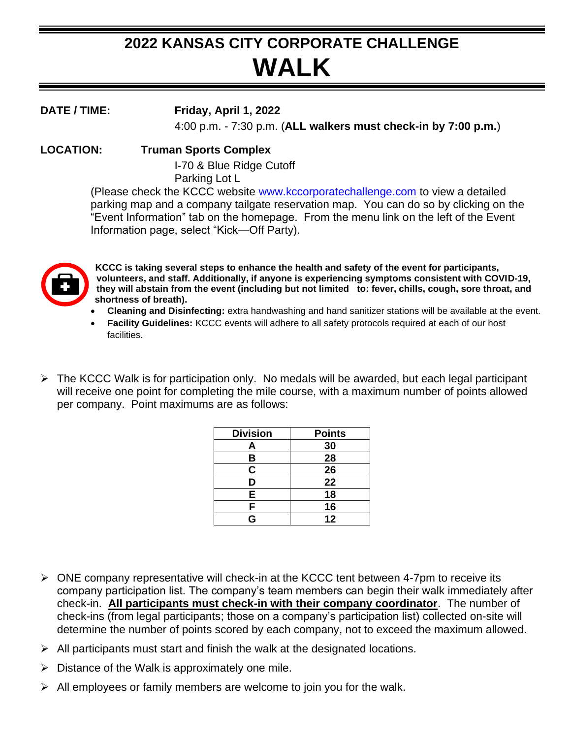## **2022 KANSAS CITY CORPORATE CHALLENGE WALK**

**DATE / TIME: Friday, April 1, 2022** 4:00 p.m. - 7:30 p.m. (**ALL walkers must check-in by 7:00 p.m.**)

## **LOCATION: Truman Sports Complex**

I-70 & Blue Ridge Cutoff Parking Lot L

(Please check the KCCC website [www.kccorporatechallenge.com](http://www.kccorporatechallenge.com/) to view a detailed parking map and a company tailgate reservation map. You can do so by clicking on the "Event Information" tab on the homepage. From the menu link on the left of the Event Information page, select "Kick—Off Party).



**KCCC is taking several steps to enhance the health and safety of the event for participants, volunteers, and staff. Additionally, if anyone is experiencing symptoms consistent with COVID-19, they will abstain from the event (including but not limited to: fever, chills, cough, sore throat, and shortness of breath).**

- **Cleaning and Disinfecting:** extra handwashing and hand sanitizer stations will be available at the event.
- **Facility Guidelines:** KCCC events will adhere to all safety protocols required at each of our host facilities.
- ➢ The KCCC Walk is for participation only. No medals will be awarded, but each legal participant will receive one point for completing the mile course, with a maximum number of points allowed per company. Point maximums are as follows:

| <b>Division</b> | <b>Points</b> |
|-----------------|---------------|
| Α               | 30            |
| B               | 28            |
| C               | 26            |
| D               | 22            |
| E               | 18            |
| F               | 16            |
| G               | 12            |

- $\triangleright$  ONE company representative will check-in at the KCCC tent between 4-7pm to receive its company participation list. The company's team members can begin their walk immediately after check-in. **All participants must check-in with their company coordinator**. The number of check-ins (from legal participants; those on a company's participation list) collected on-site will determine the number of points scored by each company, not to exceed the maximum allowed.
- $\triangleright$  All participants must start and finish the walk at the designated locations.
- $\triangleright$  Distance of the Walk is approximately one mile.
- $\triangleright$  All employees or family members are welcome to join you for the walk.